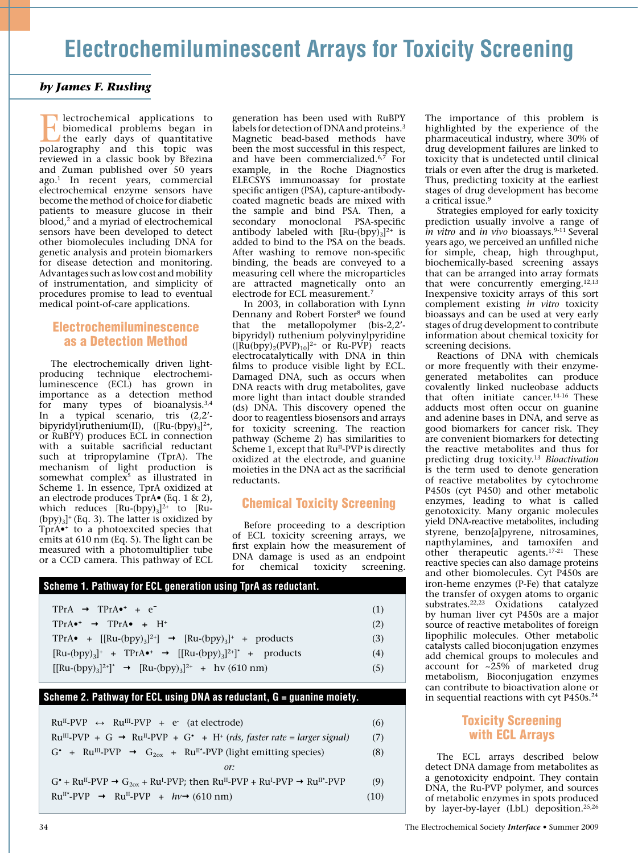# **Electrochemiluminescent Arrays for Toxicity Screening**

# *by James F. Rusling*

**Exercise Electrochemical applications to**<br>the early days of quantitative<br>produced the topic was biomedical problems began in polarography and this topic was reviewed in a classic book by Březina and Zuman published over 50 years ago.1 In recent years, commercial electrochemical enzyme sensors have become the method of choice for diabetic patients to measure glucose in their blood,<sup>2</sup> and a myriad of electrochemical sensors have been developed to detect other biomolecules including DNA for genetic analysis and protein biomarkers for disease detection and monitoring. Advantages such as low cost and mobility of instrumentation, and simplicity of procedures promise to lead to eventual medical point-of-care applications.

# Electrochemiluminescence as a Detection Method

The electrochemically driven lightproducing technique electrochemiluminescence (ECL) has grown in importance as a detection method for many types of bioanalysis.3,4 In a typical scenario, tris (2,2' bipyridyl)ruthenium(II),  $([Ru-(bpy)_3]^{2+}$ , or RuBPY) produces ECL in connection with a suitable sacrificial reductant such at tripropylamine (TprA). The mechanism of light production is somewhat complex $5$  as illustrated in Scheme 1. In essence, TprA oxidized at an electrode produces TprA• (Eq. 1 & 2), which reduces  $[Ru-(bpy)_3]^{2+}$  to  $[Ru-(bpy)_3]^{2+}$  $(bpy)_3$ <sup>+</sup> (Eq. 3). The latter is oxidized by TprA•+ to a photoexcited species that emits at 610 nm (Eq. 5). The light can be measured with a photomultiplier tube or a CCD camera. This pathway of ECL generation has been used with RuBPY labels for detection of DNA and proteins.<sup>3</sup> Magnetic bead-based methods have been the most successful in this respect, and have been commercialized. $6,7$  For example, in the Roche Diagnostics ELECSYS immunoassay for prostate specific antigen (PSA), capture-antibodycoated magnetic beads are mixed with the sample and bind PSA. Then, a secondary monoclonal PSA-specific antibody labeled with  $\text{[Ru-(bpy)}_3]^{2+}$  is added to bind to the PSA on the beads. After washing to remove non-specific binding, the beads are conveyed to a measuring cell where the microparticles are attracted magnetically onto an electrode for ECL measurement.7

In 2003, in collaboration with Lynn Dennany and Robert Forster<sup>8</sup> we found that the metallopolymer (bis-2,2' bipyridyl) ruthenium polyvinylpyridine  $([Ru(bpy)<sub>2</sub>(PVP)<sub>10</sub>]<sup>2+</sup>$  or Ru-PVP) reacts electrocatalytically with DNA in thin films to produce visible light by ECL. Damaged DNA, such as occurs when DNA reacts with drug metabolites, gave more light than intact double stranded (ds) DNA. This discovery opened the door to reagentless biosensors and arrays for toxicity screening. The reaction pathway (Scheme 2) has similarities to Scheme 1, except that Ru<sup>II</sup>-PVP is directly oxidized at the electrode, and guanine moieties in the DNA act as the sacrificial reductants.

# Chemical Toxicity Screening

Before proceeding to a description of ECL toxicity screening arrays, we first explain how the measurement of DNA damage is used as an endpoint for chemical toxicity screening.

| Scheme 1. Pathway for ECL generation using TprA as reductant.                                                    |     |
|------------------------------------------------------------------------------------------------------------------|-----|
| $TPrA \rightarrow TPrA^+ + e^-$                                                                                  | (1) |
| $TPrA \bullet^+ \rightarrow TPrA \bullet + H^+$                                                                  | (2) |
| TPrA • $\left[\frac{[\text{Ru-(bpy)}_3]^{2+}}{\rightarrow} \frac{\text{Ru-(bpy)}_3}{+} + \text{products}\right]$ | (3) |
| $[Ru-(bpy)_3]^+$ + TPrA $\bullet^+$ $\rightarrow$ $[[Ru-(bpy)_3]^{2+}^*$ + products                              | (4) |
| $[[\text{Ru-(bpy)}_3]^{2+}]^* \rightarrow [\text{Ru-(bpy)}_3]^{2+} + \text{hv}(610 \text{ nm})$                  | (5) |

#### **Scheme 2. Pathway for ECL using DNA as reductant, G = guanine moiety.**

| $Ru^{II}$ -PVP $\leftrightarrow$ Ru <sup>III</sup> -PVP + e (at electrode)                                                                                                       | (6)  |
|----------------------------------------------------------------------------------------------------------------------------------------------------------------------------------|------|
| $Ru^{III}$ -PVP + G $\rightarrow Ru^{II}$ -PVP + G' + H <sup>+</sup> (rds, faster rate = larger signal)                                                                          | (7)  |
| $G^*$ + Ru <sup>III</sup> -PVP $\rightarrow$ $G_{2\text{ox}}$ + Ru <sup>II</sup> <sup>*</sup> -PVP (light emitting species)                                                      | (8)  |
| or:                                                                                                                                                                              |      |
| $G^*$ + Ru <sup>II</sup> -PVP $\rightarrow$ $G_{20x}$ + Ru <sup>I</sup> -PVP; then Ru <sup>II</sup> -PVP + Ru <sup>I</sup> -PVP $\rightarrow$ Ru <sup>II</sup> <sup>*</sup> -PVP | (9)  |
| $Ru^{II*}$ -PVP $\rightarrow Ru^{II}$ -PVP + $hv \rightarrow (610 \text{ nm})$                                                                                                   | (10) |

The importance of this problem is highlighted by the experience of the pharmaceutical industry, where 30% of drug development failures are linked to toxicity that is undetected until clinical trials or even after the drug is marketed. Thus, predicting toxicity at the earliest stages of drug development has become a critical issue.<sup>9</sup>

Strategies employed for early toxicity prediction usually involve a range of *in vitro* and *in vivo* bioassays.9-11 Several years ago, we perceived an unfilled niche for simple, cheap, high throughput, biochemically-based screening assays that can be arranged into array formats that were concurrently emerging.<sup>12,13</sup> Inexpensive toxicity arrays of this sort complement existing *in vitro* toxicity bioassays and can be used at very early stages of drug development to contribute information about chemical toxicity for screening decisions.

Reactions of DNA with chemicals or more frequently with their enzymegenerated metabolites can produce covalently linked nucleobase adducts that often initiate cancer.<sup>14-16</sup> These adducts most often occur on guanine and adenine bases in DNA, and serve as good biomarkers for cancer risk. They are convenient biomarkers for detecting the reactive metabolites and thus for predicting drug toxicity.13 *Bioactivation* is the term used to denote generation of reactive metabolites by cytochrome P450s (cyt P450) and other metabolic enzymes, leading to what is called genotoxicity. Many organic molecules yield DNA-reactive metabolites, including styrene, benzo[a]pyrene, nitrosamines, napthylamines, and tamoxifen and other therapeutic agents.<sup>17-21</sup> These reactive species can also damage proteins and other biomolecules. Cyt P450s are iron-heme enzymes (P-Fe) that catalyze the transfer of oxygen atoms to organic substrates.<sup>22,23</sup> Oxidations catalyzed by human liver cyt P450s are a major source of reactive metabolites of foreign lipophilic molecules. Other metabolic catalysts called bioconjugation enzymes add chemical groups to molecules and account for  $\sim 25\%$  of marketed drug metabolism, Bioconjugation enzymes can contribute to bioactivation alone or in sequential reactions with cyt P450s.24

# Toxicity Screening with ECL Arrays

The ECL arrays described below detect DNA damage from metabolites as a genotoxicity endpoint. They contain DNA, the Ru-PVP polymer, and sources of metabolic enzymes in spots produced by layer-by-layer (LbL) deposition.25,26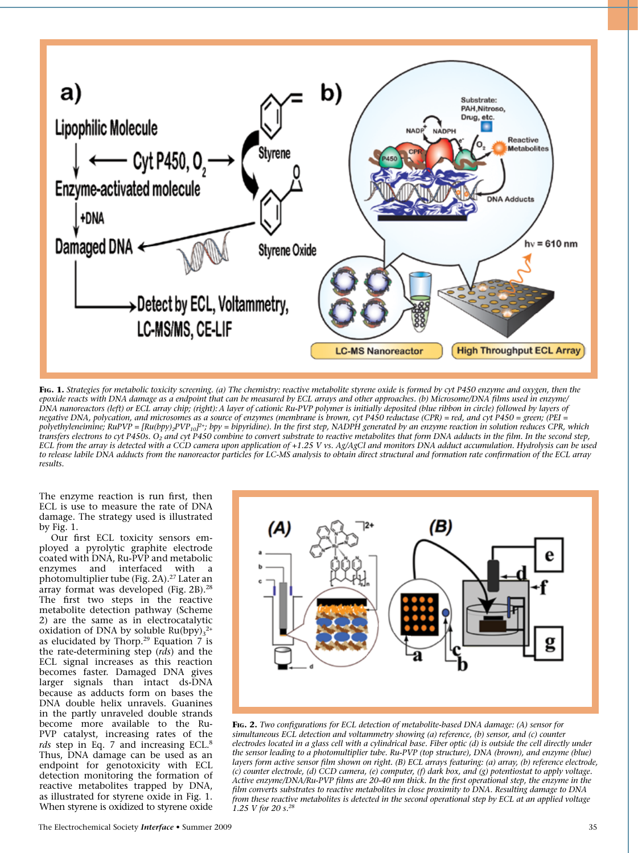

**Fig. 1.** *Strategies for metabolic toxicity screening. (a) The chemistry: reactive metabolite styrene oxide is formed by cyt P450 enzyme and oxygen, then the epoxide reacts with DNA damage as a endpoint that can be measured by ECL arrays and other approaches. (b) Microsome/DNA films used in enzyme/ DNA nanoreactors (left) or ECL array chip; (right): A layer of cationic Ru-PVP polymer is initially deposited (blue ribbon in circle) followed by layers of negative DNA, polycation, and microsomes as a source of enzymes (membrane is brown, cyt P450 reductase (CPR) = red, and cyt P450 = green; (PEI = polyethyleneimine; RuPVP = [Ru(bpy)2PVP10]2+; bpy = bipyridine). In the first step, NADPH generated by an enzyme reaction in solution reduces CPR, which transfers electrons to cyt P450s. O2 and cyt P450 combine to convert substrate to reactive metabolites that form DNA adducts in the film. In the second step, ECL from the array is detected with a CCD camera upon application of +1.25 V vs. Ag/AgCl and monitors DNA adduct accumulation. Hydrolysis can be used to release labile DNA adducts from the nanoreactor particles for LC-MS analysis to obtain direct structural and formation rate confirmation of the ECL array results.*

The enzyme reaction is run first, then ECL is use to measure the rate of DNA damage. The strategy used is illustrated by Fig. 1.

Our first ECL toxicity sensors employed a pyrolytic graphite electrode coated with DNA, Ru-PVP and metabolic enzymes and interfaced with a photomultiplier tube (Fig. 2A).27 Later an array format was developed (Fig. 2B).28 The first two steps in the reactive metabolite detection pathway (Scheme 2) are the same as in electrocatalytic oxidation of DNA by soluble  $Ru(bpy)_{3}^{2+}$ as elucidated by Thorp.<sup>29</sup> Equation 7 is the rate-determining step (*rds*) and the ECL signal increases as this reaction becomes faster. Damaged DNA gives larger signals than intact ds-DNA because as adducts form on bases the DNA double helix unravels. Guanines in the partly unraveled double strands become more available to the Ru-PVP catalyst, increasing rates of the *rds* step in Eq. 7 and increasing ECL.8 Thus, DNA damage can be used as an endpoint for genotoxicity with ECL detection monitoring the formation of reactive metabolites trapped by DNA, as illustrated for styrene oxide in Fig. 1. When styrene is oxidized to styrene oxide



**Fig. 2.** *Two configurations for ECL detection of metabolite-based DNA damage: (A) sensor for simultaneous ECL detection and voltammetry showing (a) reference, (b) sensor, and (c) counter electrodes located in a glass cell with a cylindrical base. Fiber optic (d) is outside the cell directly under the sensor leading to a photomultiplier tube. Ru-PVP (top structure), DNA (brown), and enzyme (blue) layers form active sensor film shown on right. (B) ECL arrays featuring: (a) array, (b) reference electrode, (c) counter electrode, (d) CCD camera, (e) computer, (f) dark box, and (g) potentiostat to apply voltage. Active enzyme/DNA/Ru-PVP films are 20-40 nm thick. In the first operational step, the enzyme in the film converts substrates to reactive metabolites in close proximity to DNA. Resulting damage to DNA from these reactive metabolites is detected in the second operational step by ECL at an applied voltage 1.25 V for 20 s.28*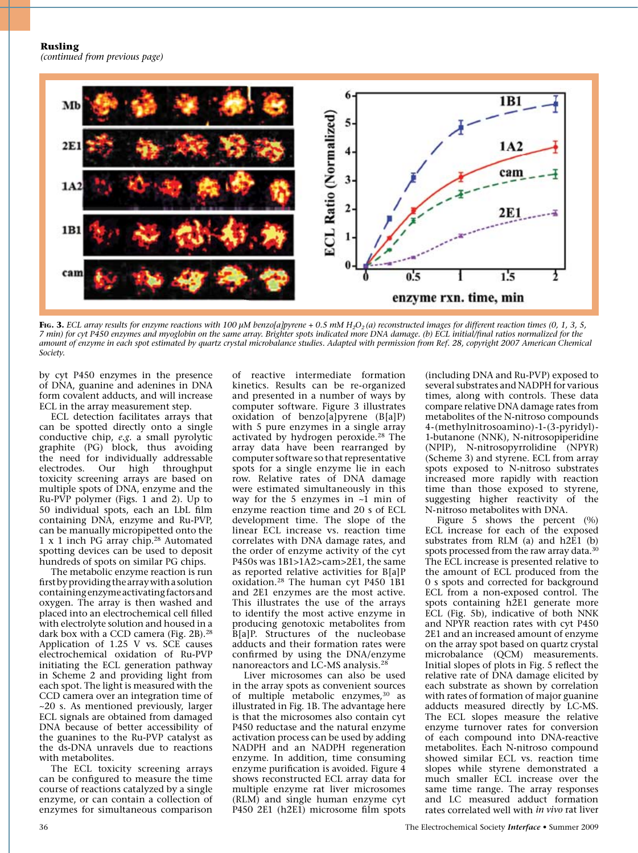**Rusling**

*(continued from previous page)*



Fig. 3. ECL array results for enzyme reactions with 100 µM benzo[a]pyrene + 0.5 mM H<sub>2</sub>O<sub>2</sub>(a) reconstructed images for different reaction times (0, 1, 3, 5, *7 min) for cyt P450 enzymes and myoglobin on the same array. Brighter spots indicated more DNA damage. (b) ECL initial/final ratios normalized for the amount of enzyme in each spot estimated by quartz crystal microbalance studies. Adapted with permission from Ref. 28, copyright 2007 American Chemical Society.*

by cyt P450 enzymes in the presence of DNA, guanine and adenines in DNA form covalent adducts, and will increase ECL in the array measurement step.

ECL detection facilitates arrays that can be spotted directly onto a single conductive chip, *e.g.* a small pyrolytic graphite (PG) block, thus avoiding the need for individually addressable electrodes. Our high throughput toxicity screening arrays are based on multiple spots of DNA, enzyme and the Ru-PVP polymer (Figs. 1 and 2). Up to 50 individual spots, each an LbL film containing DNA, enzyme and Ru-PVP, can be manually micropipetted onto the 1 x 1 inch PG array chip.28 Automated spotting devices can be used to deposit hundreds of spots on similar PG chips.

The metabolic enzyme reaction is run firstbyprovidingthearraywithasolution containingenzyme activatingfactors and oxygen. The array is then washed and placed into an electrochemical cell filled with electrolyte solution and housed in a dark box with a CCD camera (Fig. 2B).<sup>28</sup> Application of 1.25 V vs. SCE causes electrochemical oxidation of Ru-PVP initiating the ECL generation pathway in Scheme 2 and providing light from each spot. The light is measured with the CCD camera over an integration time of ~20 s. As mentioned previously, larger ECL signals are obtained from damaged DNA because of better accessibility of the guanines to the Ru-PVP catalyst as the ds-DNA unravels due to reactions with metabolites.

The ECL toxicity screening arrays can be configured to measure the time course of reactions catalyzed by a single enzyme, or can contain a collection of enzymes for simultaneous comparison of reactive intermediate formation kinetics. Results can be re-organized and presented in a number of ways by computer software. Figure 3 illustrates oxidation of benzo[a]pyrene (B[a]P) with 5 pure enzymes in a single array activated by hydrogen peroxide.28 The array data have been rearranged by computer software so that representative spots for a single enzyme lie in each row. Relative rates of DNA damage were estimated simultaneously in this way for the 5 enzymes in  $\sim$ 1 min of enzyme reaction time and 20 s of ECL development time. The slope of the linear ECL increase vs. reaction time correlates with DNA damage rates, and the order of enzyme activity of the cyt P450s was 1B1>1A2>cam>2E1, the same as reported relative activities for B[a]P oxidation.28 The human cyt P450 1B1 and 2E1 enzymes are the most active. This illustrates the use of the arrays to identify the most active enzyme in producing genotoxic metabolites from B[a]P. Structures of the nucleobase adducts and their formation rates were confirmed by using the DNA/enzyme nanoreactors and LC-MS analysis.28

Liver microsomes can also be used in the array spots as convenient sources of multiple metabolic enzymes,<sup>30</sup> as illustrated in Fig. 1B. The advantage here is that the microsomes also contain cyt P450 reductase and the natural enzyme activation process can be used by adding NADPH and an NADPH regeneration enzyme. In addition, time consuming enzyme purification is avoided. Figure 4 shows reconstructed ECL array data for multiple enzyme rat liver microsomes (RLM) and single human enzyme cyt P450 2E1 (h2E1) microsome film spots

(including DNA and Ru-PVP) exposed to several substrates and NADPH for various times, along with controls. These data compare relative DNA damage rates from metabolites of the N-nitroso compounds 4-(methylnitrosoamino)-1-(3-pyridyl)- 1-butanone (NNK), N-nitrosopiperidine (NPIP), N-nitrosopyrrolidine (NPYR) (Scheme 3) and styrene. ECL from array spots exposed to N-nitroso substrates increased more rapidly with reaction time than those exposed to styrene, suggesting higher reactivity of the N-nitroso metabolites with DNA.

Figure 5 shows the percent (%) ECL increase for each of the exposed substrates from RLM (a) and h2E1 (b) spots processed from the raw array data.<sup>30</sup> The ECL increase is presented relative to the amount of ECL produced from the 0 s spots and corrected for background ECL from a non-exposed control. The spots containing h2E1 generate more ECL (Fig. 5b), indicative of both NNK and NPYR reaction rates with cyt P450 2E1 and an increased amount of enzyme on the array spot based on quartz crystal microbalance (QCM) measurements. Initial slopes of plots in Fig. 5 reflect the relative rate of DNA damage elicited by each substrate as shown by correlation with rates of formation of major guanine adducts measured directly by LC-MS. The ECL slopes measure the relative enzyme turnover rates for conversion of each compound into DNA-reactive metabolites. Each N-nitroso compound showed similar ECL vs. reaction time slopes while styrene demonstrated a much smaller ECL increase over the same time range. The array responses and LC measured adduct formation rates correlated well with *in vivo* rat liver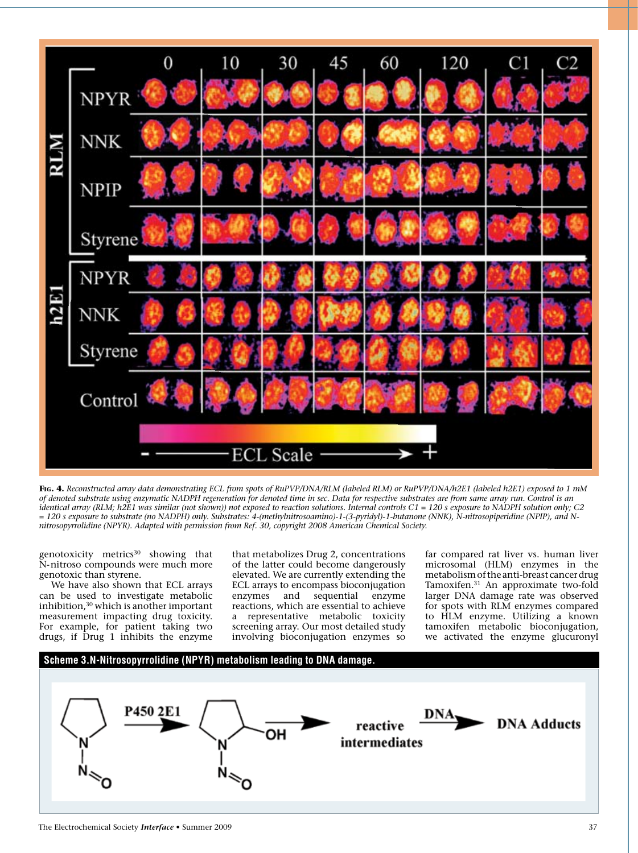

**Fig. 4.** *Reconstructed array data demonstrating ECL from spots of RuPVP/DNA/RLM (labeled RLM) or RuPVP/DNA/h2E1 (labeled h2E1) exposed to 1 mM of denoted substrate using enzymatic NADPH regeneration for denoted time in sec. Data for respective substrates are from same array run. Control is an identical array (RLM; h2E1 was similar (not shown)) not exposed to reaction solutions. Internal controls C1 = 120 s exposure to NADPH solution only; C2 = 120 s exposure to substrate (no NADPH) only. Substrates: 4-(methylnitrosoamino)-1-(3-pyridyl)-1-butanone (NNK), N-nitrosopiperidine (NPIP), and Nnitrosopyrrolidine (NPYR). Adapted with permission from Ref. 30, copyright 2008 American Chemical Society.*

genotoxicity metrics<sup>30</sup> showing that N-nitroso compounds were much more genotoxic than styrene.

We have also shown that ECL arrays can be used to investigate metabolic inhibition,30 which is another important measurement impacting drug toxicity. For example, for patient taking two drugs, if Drug 1 inhibits the enzyme

that metabolizes Drug 2, concentrations of the latter could become dangerously elevated. We are currently extending the ECL arrays to encompass bioconjugation enzymes and sequential enzyme reactions, which are essential to achieve a representative metabolic toxicity screening array. Our most detailed study involving bioconjugation enzymes so

far compared rat liver vs. human liver microsomal (HLM) enzymes in the metabolism of the anti-breast cancer drug Tamoxifen.31 An approximate two-fold larger DNA damage rate was observed for spots with RLM enzymes compared to HLM enzyme. Utilizing a known tamoxifen metabolic bioconjugation, we activated the enzyme glucuronyl

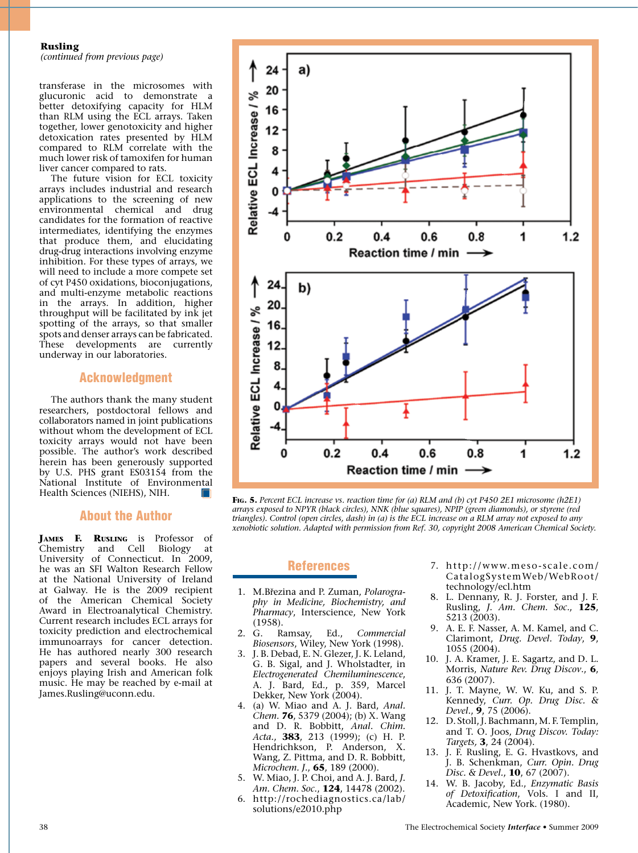#### **Rusling**

*(continued from previous page)*

transferase in the microsomes with glucuronic acid to demonstrate a better detoxifying capacity for HLM than RLM using the ECL arrays. Taken together, lower genotoxicity and higher detoxication rates presented by HLM compared to RLM correlate with the much lower risk of tamoxifen for human liver cancer compared to rats.

The future vision for ECL toxicity arrays includes industrial and research applications to the screening of new environmental chemical and drug candidates for the formation of reactive intermediates, identifying the enzymes that produce them, and elucidating drug-drug interactions involving enzyme inhibition. For these types of arrays, we will need to include a more compete set of cyt P450 oxidations, bioconjugations, and multi-enzyme metabolic reactions in the arrays. In addition, higher throughput will be facilitated by ink jet spotting of the arrays, so that smaller spots and denser arrays can be fabricated. These developments are currently underway in our laboratories.

#### Acknowledgment

The authors thank the many student researchers, postdoctoral fellows and collaborators named in joint publications without whom the development of ECL toxicity arrays would not have been possible. The author's work described herein has been generously supported by U.S. PHS grant ES03154 from the National Institute of Environmental Health Sciences (NIEHS), NIH.

#### About the Author

**James F. Rusling** is Professor of Chemistry and Cell Biology at University of Connecticut. In 2009, he was an SFI Walton Research Fellow at the National University of Ireland at Galway. He is the 2009 recipient of the American Chemical Society Award in Electroanalytical Chemistry. Current research includes ECL arrays for toxicity prediction and electrochemical immunoarrays for cancer detection. He has authored nearly 300 research papers and several books. He also enjoys playing Irish and American folk music. He may be reached by e-mail at James.Rusling@uconn.edu.



**Fig. 5.** *Percent ECL increase vs. reaction time for (a) RLM and (b) cyt P450 2E1 microsome (h2E1) arrays exposed to NPYR (black circles), NNK (blue squares), NPIP (green diamonds), or styrene (red triangles). Control (open circles, dash) in (a) is the ECL increase on a RLM array not exposed to any xenobiotic solution. Adapted with permission from Ref. 30, copyright 2008 American Chemical Society.*

#### References

- 1. M.Březina and P. Zuman, *Polarography in Medicine, Biochemistry, and Pharmacy*, Interscience, New York (1958).
- 2. G. Ramsay, Ed., *Commercial Biosensors*, Wiley, New York (1998).
- 3. J. B. Debad, E. N. Glezer, J. K. Leland, G. B. Sigal, and J. Wholstadter, in *Electrogenerated Chemiluminescence*, A. J. Bard, Ed., p. 359, Marcel Dekker, New York (2004).
- 4. (a) W. Miao and A. J. Bard, *Anal. Chem.* **76**, 5379 (2004); (b) X. Wang and D. R. Bobbitt, *Anal. Chim. Acta.*, **383**, 213 (1999); (c) H. P. Hendrichkson, P. Anderson, X. Wang, Z. Pittma, and D. R. Bobbitt, *Microchem. J.*, **65**, 189 (2000).
- 5. W. Miao, J. P. Choi, and A. J. Bard, *J. Am. Chem. Soc.*, **124**, 14478 (2002). 6. http://rochediagnostics.ca/lab/
- solutions/e2010.php
- 7. http://www.meso-scale.com/ CatalogSystemWeb/WebRoot/ technology/ecl.htm
- 8. L. Dennany, R. J. Forster, and J. F. Rusling, *J. Am. Chem. Soc*., **125**, 5213 (2003).
- 9. A. E. F. Nasser, A. M. Kamel, and C. Clarimont, *Drug. Devel. Today*, **9**, 1055 (2004).
- 10. J. A. Kramer, J. E. Sagartz, and D. L. Morris, *Nature Rev. Drug Discov*., **6**, 636 (2007).
- 11. J. T. Mayne, W. W. Ku, and S. P. Kennedy, *Curr. Op. Drug Disc. & Devel*., **9**, 75 (2006).
- 12. D. Stoll,J. Bachmann, M. F. Templin, and T. O. Joos, *Drug Discov. Today: Targets,* **3**, 24 (2004).
- 13. J. F. Rusling, E. G. Hvastkovs, and J. B. Schenkman, *Curr. Opin. Drug Disc. & Devel.*, **10**, 67 (2007).
- 14. W. B. Jacoby, Ed., *Enzymatic Basis of Detoxification*, Vols. I and II, Academic, New York. (1980).